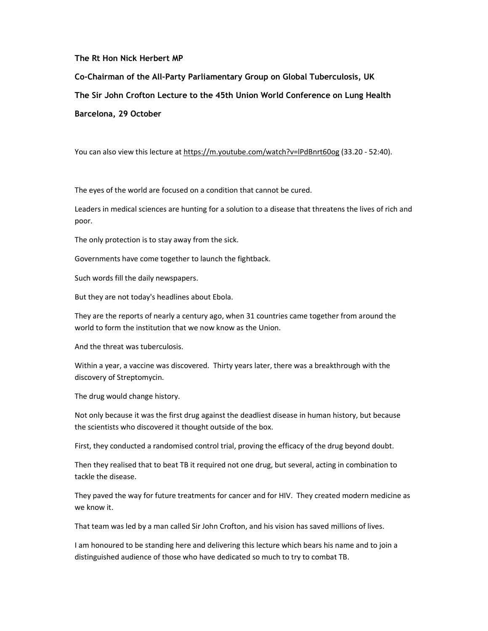## The Rt Hon Nick Herbert MP

Co-Chairman of the All-Party Parliamentary Group on Global Tuberculosis, UK The Sir John Crofton Lecture to the 45th Union World Conference on Lung Health Barcelona, 29 October

You can also view this lecture at https://m.youtube.com/watch?v=lPdBnrt60og (33.20 - 52:40).

The eyes of the world are focused on a condition that cannot be cured.

Leaders in medical sciences are hunting for a solution to a disease that threatens the lives of rich and poor.

The only protection is to stay away from the sick.

Governments have come together to launch the fightback.

Such words fill the daily newspapers.

But they are not today's headlines about Ebola.

They are the reports of nearly a century ago, when 31 countries came together from around the world to form the institution that we now know as the Union.

And the threat was tuberculosis.

Within a year, a vaccine was discovered. Thirty years later, there was a breakthrough with the discovery of Streptomycin.

The drug would change history.

Not only because it was the first drug against the deadliest disease in human history, but because the scientists who discovered it thought outside of the box.

First, they conducted a randomised control trial, proving the efficacy of the drug beyond doubt.

Then they realised that to beat TB it required not one drug, but several, acting in combination to tackle the disease.

They paved the way for future treatments for cancer and for HIV. They created modern medicine as we know it.

That team was led by a man called Sir John Crofton, and his vision has saved millions of lives.

I am honoured to be standing here and delivering this lecture which bears his name and to join a distinguished audience of those who have dedicated so much to try to combat TB.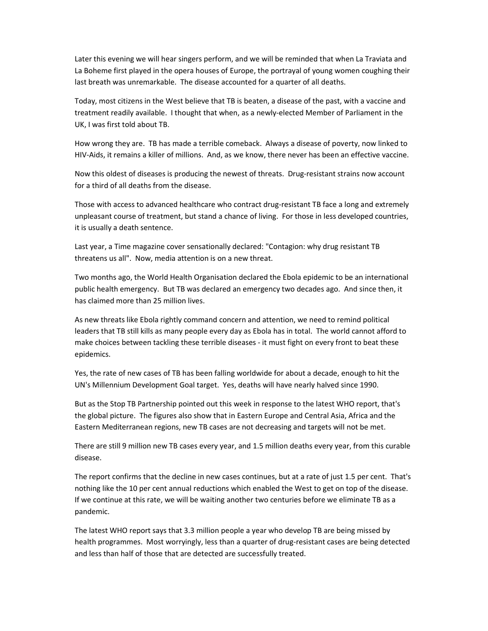Later this evening we will hear singers perform, and we will be reminded that when La Traviata and La Boheme first played in the opera houses of Europe, the portrayal of young women coughing their last breath was unremarkable. The disease accounted for a quarter of all deaths.

Today, most citizens in the West believe that TB is beaten, a disease of the past, with a vaccine and treatment readily available. I thought that when, as a newly-elected Member of Parliament in the UK, I was first told about TB.

How wrong they are. TB has made a terrible comeback. Always a disease of poverty, now linked to HIV-Aids, it remains a killer of millions. And, as we know, there never has been an effective vaccine.

Now this oldest of diseases is producing the newest of threats. Drug-resistant strains now account for a third of all deaths from the disease.

Those with access to advanced healthcare who contract drug-resistant TB face a long and extremely unpleasant course of treatment, but stand a chance of living. For those in less developed countries, it is usually a death sentence.

Last year, a Time magazine cover sensationally declared: "Contagion: why drug resistant TB threatens us all". Now, media attention is on a new threat.

Two months ago, the World Health Organisation declared the Ebola epidemic to be an international public health emergency. But TB was declared an emergency two decades ago. And since then, it has claimed more than 25 million lives.

As new threats like Ebola rightly command concern and attention, we need to remind political leaders that TB still kills as many people every day as Ebola has in total. The world cannot afford to make choices between tackling these terrible diseases - it must fight on every front to beat these epidemics.

Yes, the rate of new cases of TB has been falling worldwide for about a decade, enough to hit the UN's Millennium Development Goal target. Yes, deaths will have nearly halved since 1990.

But as the Stop TB Partnership pointed out this week in response to the latest WHO report, that's the global picture. The figures also show that in Eastern Europe and Central Asia, Africa and the Eastern Mediterranean regions, new TB cases are not decreasing and targets will not be met.

There are still 9 million new TB cases every year, and 1.5 million deaths every year, from this curable disease.

The report confirms that the decline in new cases continues, but at a rate of just 1.5 per cent. That's nothing like the 10 per cent annual reductions which enabled the West to get on top of the disease. If we continue at this rate, we will be waiting another two centuries before we eliminate TB as a pandemic.

The latest WHO report says that 3.3 million people a year who develop TB are being missed by health programmes. Most worryingly, less than a quarter of drug-resistant cases are being detected and less than half of those that are detected are successfully treated.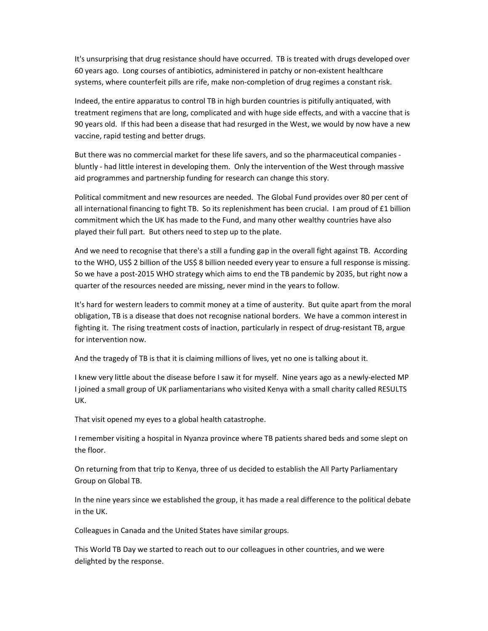It's unsurprising that drug resistance should have occurred. TB is treated with drugs developed over 60 years ago. Long courses of antibiotics, administered in patchy or non-existent healthcare systems, where counterfeit pills are rife, make non-completion of drug regimes a constant risk.

Indeed, the entire apparatus to control TB in high burden countries is pitifully antiquated, with treatment regimens that are long, complicated and with huge side effects, and with a vaccine that is 90 years old. If this had been a disease that had resurged in the West, we would by now have a new vaccine, rapid testing and better drugs.

But there was no commercial market for these life savers, and so the pharmaceutical companies bluntly - had little interest in developing them. Only the intervention of the West through massive aid programmes and partnership funding for research can change this story.

Political commitment and new resources are needed. The Global Fund provides over 80 per cent of all international financing to fight TB. So its replenishment has been crucial. I am proud of £1 billion commitment which the UK has made to the Fund, and many other wealthy countries have also played their full part. But others need to step up to the plate.

And we need to recognise that there's a still a funding gap in the overall fight against TB. According to the WHO, US\$ 2 billion of the US\$ 8 billion needed every year to ensure a full response is missing. So we have a post-2015 WHO strategy which aims to end the TB pandemic by 2035, but right now a quarter of the resources needed are missing, never mind in the years to follow.

It's hard for western leaders to commit money at a time of austerity. But quite apart from the moral obligation, TB is a disease that does not recognise national borders. We have a common interest in fighting it. The rising treatment costs of inaction, particularly in respect of drug-resistant TB, argue for intervention now.

And the tragedy of TB is that it is claiming millions of lives, yet no one is talking about it.

I knew very little about the disease before I saw it for myself. Nine years ago as a newly-elected MP I joined a small group of UK parliamentarians who visited Kenya with a small charity called RESULTS UK.

That visit opened my eyes to a global health catastrophe.

I remember visiting a hospital in Nyanza province where TB patients shared beds and some slept on the floor.

On returning from that trip to Kenya, three of us decided to establish the All Party Parliamentary Group on Global TB.

In the nine years since we established the group, it has made a real difference to the political debate in the UK.

Colleagues in Canada and the United States have similar groups.

This World TB Day we started to reach out to our colleagues in other countries, and we were delighted by the response.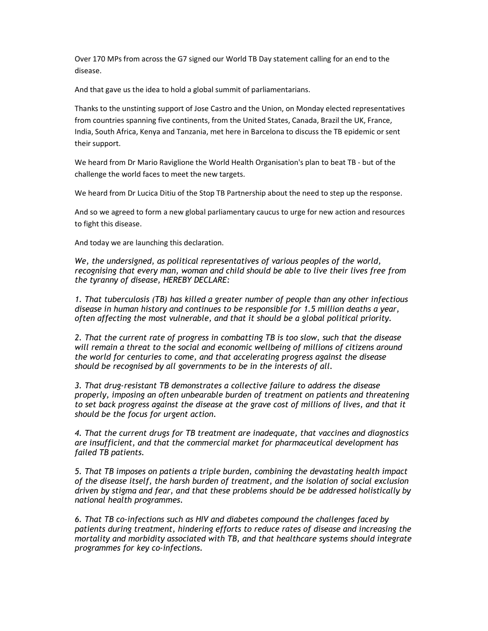Over 170 MPs from across the G7 signed our World TB Day statement calling for an end to the disease.

And that gave us the idea to hold a global summit of parliamentarians.

Thanks to the unstinting support of Jose Castro and the Union, on Monday elected representatives from countries spanning five continents, from the United States, Canada, Brazil the UK, France, India, South Africa, Kenya and Tanzania, met here in Barcelona to discuss the TB epidemic or sent their support.

We heard from Dr Mario Raviglione the World Health Organisation's plan to beat TB - but of the challenge the world faces to meet the new targets.

We heard from Dr Lucica Ditiu of the Stop TB Partnership about the need to step up the response.

And so we agreed to form a new global parliamentary caucus to urge for new action and resources to fight this disease.

And today we are launching this declaration.

We, the undersigned, as political representatives of various peoples of the world, recognising that every man, woman and child should be able to live their lives free from the tyranny of disease, HEREBY DECLARE:

1. That tuberculosis (TB) has killed a greater number of people than any other infectious disease in human history and continues to be responsible for 1.5 million deaths a year, often affecting the most vulnerable, and that it should be a global political priority.

2. That the current rate of progress in combatting TB is too slow, such that the disease will remain a threat to the social and economic wellbeing of millions of citizens around the world for centuries to come, and that accelerating progress against the disease should be recognised by all governments to be in the interests of all.

3. That drug-resistant TB demonstrates a collective failure to address the disease properly, imposing an often unbearable burden of treatment on patients and threatening to set back progress against the disease at the grave cost of millions of lives, and that it should be the focus for urgent action.

4. That the current drugs for TB treatment are inadequate, that vaccines and diagnostics are insufficient, and that the commercial market for pharmaceutical development has failed TB patients.

5. That TB imposes on patients a triple burden, combining the devastating health impact of the disease itself, the harsh burden of treatment, and the isolation of social exclusion driven by stigma and fear, and that these problems should be be addressed holistically by national health programmes.

6. That TB co-infections such as HIV and diabetes compound the challenges faced by patients during treatment, hindering efforts to reduce rates of disease and increasing the mortality and morbidity associated with TB, and that healthcare systems should integrate programmes for key co-infections.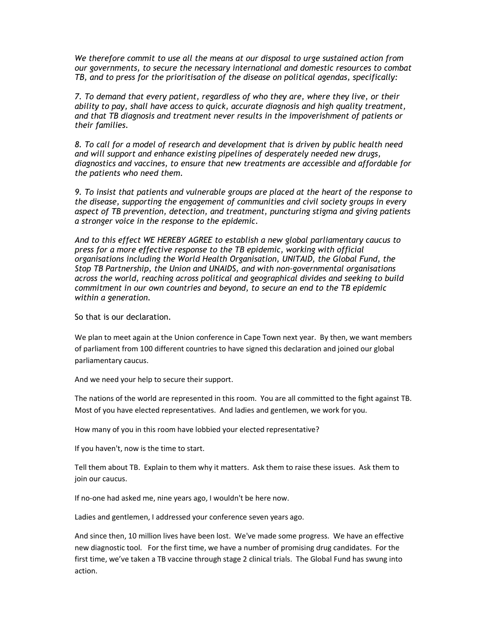We therefore commit to use all the means at our disposal to urge sustained action from our governments, to secure the necessary international and domestic resources to combat TB, and to press for the prioritisation of the disease on political agendas, specifically:

7. To demand that every patient, regardless of who they are, where they live, or their ability to pay, shall have access to quick, accurate diagnosis and high quality treatment, and that TB diagnosis and treatment never results in the impoverishment of patients or their families.

8. To call for a model of research and development that is driven by public health need and will support and enhance existing pipelines of desperately needed new drugs, diagnostics and vaccines, to ensure that new treatments are accessible and affordable for the patients who need them.

9. To insist that patients and vulnerable groups are placed at the heart of the response to the disease, supporting the engagement of communities and civil society groups in every aspect of TB prevention, detection, and treatment, puncturing stigma and giving patients a stronger voice in the response to the epidemic.

And to this effect WE HEREBY AGREE to establish a new global parliamentary caucus to press for a more effective response to the TB epidemic, working with official organisations including the World Health Organisation, UNITAID, the Global Fund, the Stop TB Partnership, the Union and UNAIDS, and with non-governmental organisations across the world, reaching across political and geographical divides and seeking to build commitment in our own countries and beyond, to secure an end to the TB epidemic within a generation.

So that is our declaration.

We plan to meet again at the Union conference in Cape Town next year. By then, we want members of parliament from 100 different countries to have signed this declaration and joined our global parliamentary caucus.

And we need your help to secure their support.

The nations of the world are represented in this room. You are all committed to the fight against TB. Most of you have elected representatives. And ladies and gentlemen, we work for you.

How many of you in this room have lobbied your elected representative?

If you haven't, now is the time to start.

Tell them about TB. Explain to them why it matters. Ask them to raise these issues. Ask them to join our caucus.

If no-one had asked me, nine years ago, I wouldn't be here now.

Ladies and gentlemen, I addressed your conference seven years ago.

And since then, 10 million lives have been lost. We've made some progress. We have an effective new diagnostic tool. For the first time, we have a number of promising drug candidates. For the first time, we've taken a TB vaccine through stage 2 clinical trials. The Global Fund has swung into action.